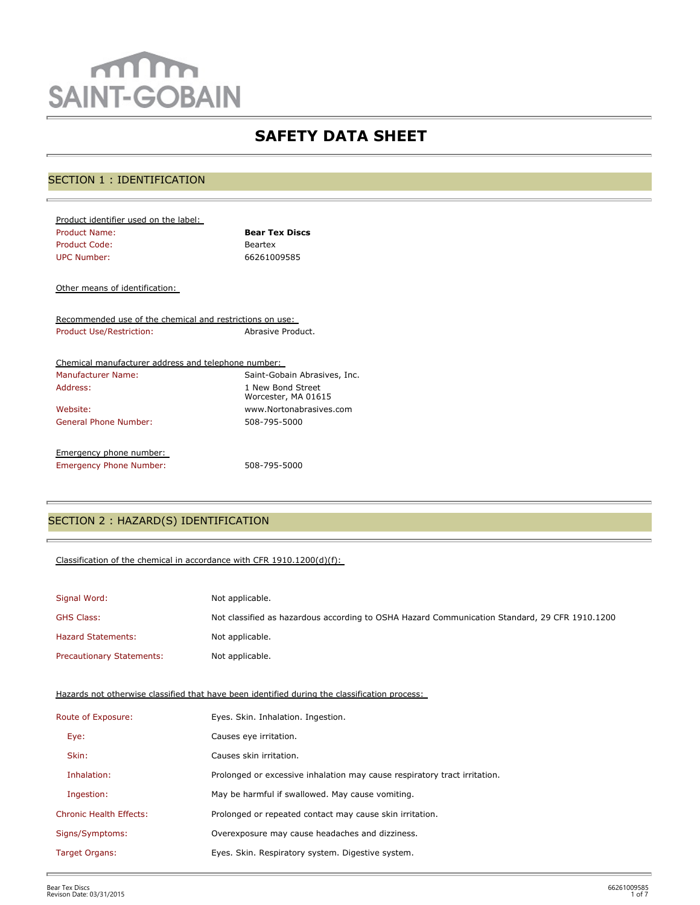# mm **SAINT-GOBAIN**

## **SAFETY DATA SHEET**

## SECTION 1 : IDENTIFICATION

| Product identifier used on the label: |                       |
|---------------------------------------|-----------------------|
| Product Name:                         | <b>Bear Tex Discs</b> |
| Product Code:                         | Beartex               |
| UPC Number:                           | 66261009585           |
|                                       |                       |

Other means of identification:

Recommended use of the chemical and restrictions on use: Product Use/Restriction: Abrasive Product.

| Chemical manufacturer address and telephone number: |                                          |
|-----------------------------------------------------|------------------------------------------|
| <b>Manufacturer Name:</b>                           | Saint-Gobain Abrasives, Inc.             |
| Address:                                            | 1 New Bond Street<br>Worcester, MA 01615 |
| Website:                                            | www.Nortonabrasives.com                  |
| General Phone Number:                               | 508-795-5000                             |
| Emergency phone number:                             |                                          |
| <b>Emergency Phone Number:</b>                      | 508-795-5000                             |

## SECTION 2 : HAZARD(S) IDENTIFICATION

#### Classification of the chemical in accordance with CFR 1910.1200(d)(f):

| Signal Word:                     | Not applicable.                                                                               |
|----------------------------------|-----------------------------------------------------------------------------------------------|
| <b>GHS Class:</b>                | Not classified as hazardous according to OSHA Hazard Communication Standard, 29 CFR 1910.1200 |
| <b>Hazard Statements:</b>        | Not applicable.                                                                               |
| <b>Precautionary Statements:</b> | Not applicable.                                                                               |

Hazards not otherwise classified that have been identified during the classification process:

| Route of Exposure:             | Eyes. Skin. Inhalation. Ingestion.                                        |
|--------------------------------|---------------------------------------------------------------------------|
| Eye:                           | Causes eye irritation.                                                    |
| Skin:                          | Causes skin irritation.                                                   |
| Inhalation:                    | Prolonged or excessive inhalation may cause respiratory tract irritation. |
| Ingestion:                     | May be harmful if swallowed. May cause vomiting.                          |
| <b>Chronic Health Effects:</b> | Prolonged or repeated contact may cause skin irritation.                  |
| Signs/Symptoms:                | Overexposure may cause headaches and dizziness.                           |
| Target Organs:                 | Eyes. Skin. Respiratory system. Digestive system.                         |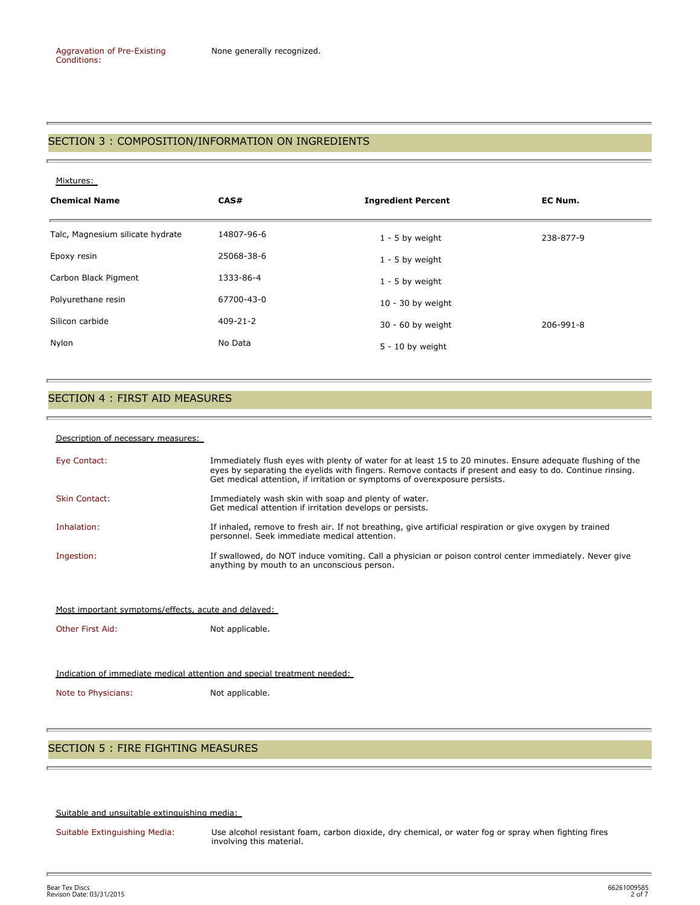## SECTION 3 : COMPOSITION/INFORMATION ON INGREDIENTS

#### Mixtures:

| <b>Chemical Name</b>             | CAS#           | <b>Ingredient Percent</b> | EC Num.   |
|----------------------------------|----------------|---------------------------|-----------|
| Talc, Magnesium silicate hydrate | 14807-96-6     | $1 - 5$ by weight         | 238-877-9 |
| Epoxy resin                      | 25068-38-6     | $1 - 5$ by weight         |           |
| Carbon Black Pigment             | 1333-86-4      | $1 - 5$ by weight         |           |
| Polyurethane resin               | 67700-43-0     | $10 - 30$ by weight       |           |
| Silicon carbide                  | $409 - 21 - 2$ | 30 - 60 by weight         | 206-991-8 |
| Nylon                            | No Data        | $5 - 10$ by weight        |           |

#### SECTION 4 : FIRST AID MEASURES

#### Description of necessary measures:

| Eye Contact:         | Immediately flush eyes with plenty of water for at least 15 to 20 minutes. Ensure adequate flushing of the<br>eyes by separating the eyelids with fingers. Remove contacts if present and easy to do. Continue rinsing.<br>Get medical attention, if irritation or symptoms of overexposure persists. |
|----------------------|-------------------------------------------------------------------------------------------------------------------------------------------------------------------------------------------------------------------------------------------------------------------------------------------------------|
| <b>Skin Contact:</b> | Immediately wash skin with soap and plenty of water.<br>Get medical attention if irritation develops or persists.                                                                                                                                                                                     |
| Inhalation:          | If inhaled, remove to fresh air. If not breathing, give artificial respiration or give oxygen by trained<br>personnel. Seek immediate medical attention.                                                                                                                                              |
| Ingestion:           | If swallowed, do NOT induce vomiting. Call a physician or poison control center immediately. Never give<br>anything by mouth to an unconscious person.                                                                                                                                                |

#### Most important symptoms/effects, acute and delayed:

Other First Aid: Not applicable.

#### Indication of immediate medical attention and special treatment needed:

Note to Physicians: Not applicable.

## SECTION 5 : FIRE FIGHTING MEASURES

Suitable and unsuitable extinguishing media:

Suitable Extinguishing Media: Use alcohol resistant foam, carbon dioxide, dry chemical, or water fog or spray when fighting fires involving this material.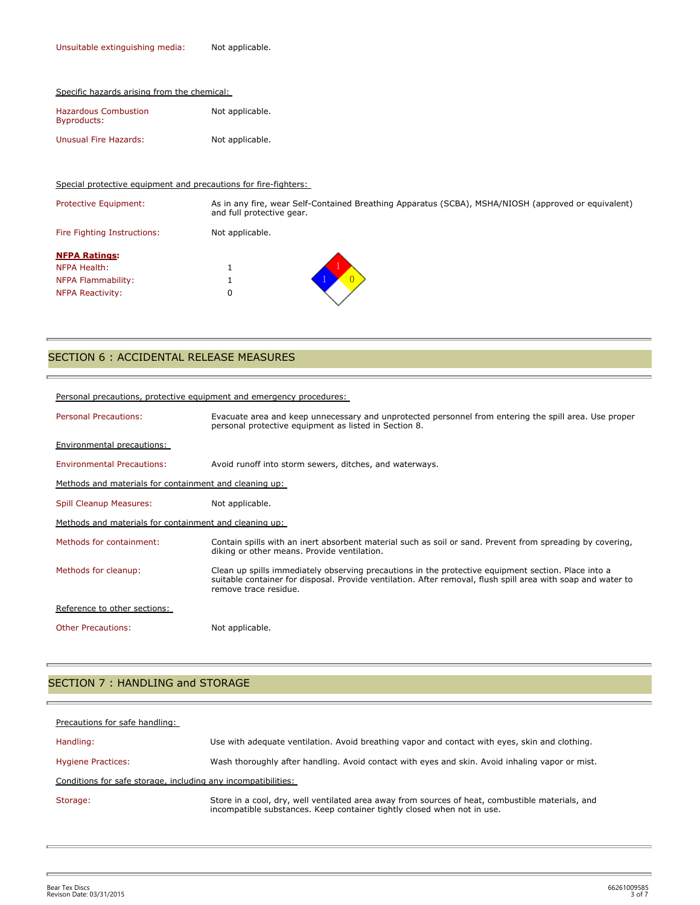|  |  | Specific hazards arising from the chemical: |
|--|--|---------------------------------------------|
|  |  |                                             |

| <b>Hazardous Combustion</b><br>Byproducts: | Not applicable. |  |
|--------------------------------------------|-----------------|--|
| Unusual Fire Hazards:                      | Not applicable. |  |

Special protective equipment and precautions for fire-fighters:

Protective Equipment: As in any fire, wear Self-Contained Breathing Apparatus (SCBA), MSHA/NIOSH (approved or equivalent) and full protective gear. Fire Fighting Instructions: Not applicable. **NFPA Ratings:** NFPA Health: 1 NFPA Flammability: 1 NFPA Reactivity: 0 1 0

#### SECTION 6 : ACCIDENTAL RELEASE MEASURES

|                                                        | Personal precautions, protective equipment and emergency procedures:                                                                                                                                                                         |
|--------------------------------------------------------|----------------------------------------------------------------------------------------------------------------------------------------------------------------------------------------------------------------------------------------------|
| <b>Personal Precautions:</b>                           | Evacuate area and keep unnecessary and unprotected personnel from entering the spill area. Use proper<br>personal protective equipment as listed in Section 8.                                                                               |
| Environmental precautions:                             |                                                                                                                                                                                                                                              |
| <b>Environmental Precautions:</b>                      | Avoid runoff into storm sewers, ditches, and waterways.                                                                                                                                                                                      |
| Methods and materials for containment and cleaning up: |                                                                                                                                                                                                                                              |
| <b>Spill Cleanup Measures:</b>                         | Not applicable.                                                                                                                                                                                                                              |
| Methods and materials for containment and cleaning up: |                                                                                                                                                                                                                                              |
| Methods for containment:                               | Contain spills with an inert absorbent material such as soil or sand. Prevent from spreading by covering,<br>diking or other means. Provide ventilation.                                                                                     |
| Methods for cleanup:                                   | Clean up spills immediately observing precautions in the protective equipment section. Place into a<br>suitable container for disposal. Provide ventilation. After removal, flush spill area with soap and water to<br>remove trace residue. |
| Reference to other sections:                           |                                                                                                                                                                                                                                              |
| <b>Other Precautions:</b>                              | Not applicable.                                                                                                                                                                                                                              |

## SECTION 7 : HANDLING and STORAGE

| Precautions for safe handling:                                |                                                                                                                                                                             |
|---------------------------------------------------------------|-----------------------------------------------------------------------------------------------------------------------------------------------------------------------------|
| Handling:                                                     | Use with adequate ventilation. Avoid breathing vapor and contact with eyes, skin and clothing.                                                                              |
| <b>Hygiene Practices:</b>                                     | Wash thoroughly after handling. Avoid contact with eyes and skin. Avoid inhaling vapor or mist.                                                                             |
| Conditions for safe storage, including any incompatibilities: |                                                                                                                                                                             |
| Storage:                                                      | Store in a cool, dry, well ventilated area away from sources of heat, combustible materials, and<br>incompatible substances. Keep container tightly closed when not in use. |

Ē.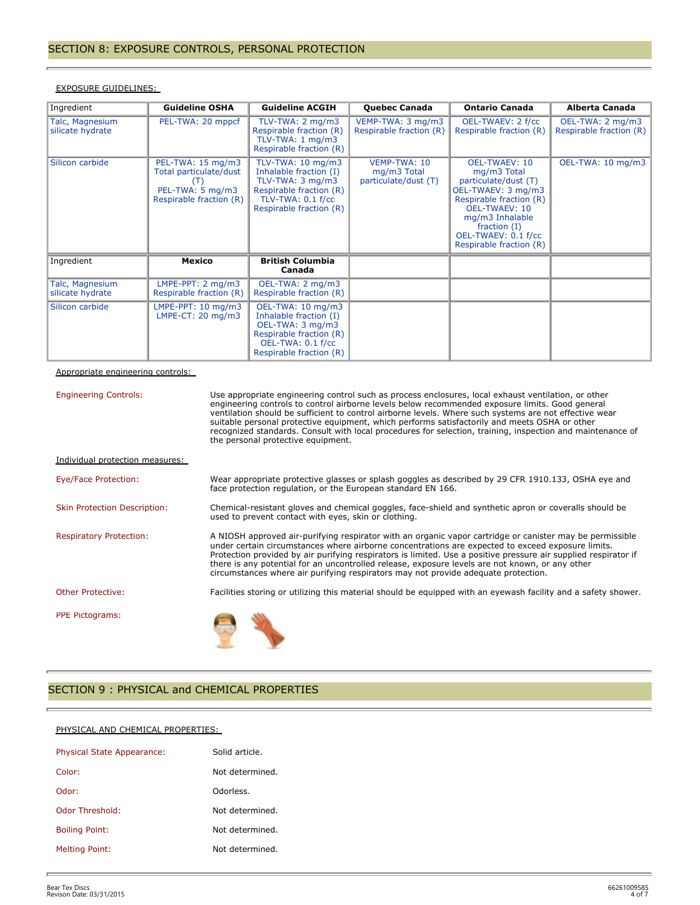| Ingredient                          | <b>Guideline OSHA</b>                                                                             | <b>Guideline ACGIH</b>                                                                                                                                         | <b>Quebec Canada</b>                                | <b>Ontario Canada</b>                                                                                                                                                                                                       | Alberta Canada                              |
|-------------------------------------|---------------------------------------------------------------------------------------------------|----------------------------------------------------------------------------------------------------------------------------------------------------------------|-----------------------------------------------------|-----------------------------------------------------------------------------------------------------------------------------------------------------------------------------------------------------------------------------|---------------------------------------------|
| Talc, Magnesium<br>silicate hydrate | PEL-TWA: 20 mppcf                                                                                 | TLV-TWA: $2 \text{ mg/m}$ 3<br>Respirable fraction (R)<br>TLV-TWA: $1 \text{ mg/m}$ 3<br>Respirable fraction (R)                                               | VEMP-TWA: 3 mg/m3<br>Respirable fraction (R)        | OEL-TWAEV: 2 f/cc<br>Respirable fraction (R)                                                                                                                                                                                | OEL-TWA: 2 mg/m3<br>Respirable fraction (R) |
| Silicon carbide                     | PEL-TWA: 15 mg/m3<br>Total particulate/dust<br>(T)<br>PEL-TWA: 5 mg/m3<br>Respirable fraction (R) | TLV-TWA: $10 \text{ mg/m}$ 3<br>Inhalable fraction (I)<br>TLV-TWA: $3 \text{ mg/m}$<br>Respirable fraction (R)<br>TLV-TWA: 0.1 f/cc<br>Respirable fraction (R) | VEMP-TWA: 10<br>mg/m3 Total<br>particulate/dust (T) | <b>OEL-TWAEV: 10</b><br>mg/m3 Total<br>particulate/dust (T)<br>OEL-TWAEV: 3 mg/m3<br>Respirable fraction (R)<br><b>OEL-TWAEV: 10</b><br>mg/m3 Inhalable<br>fraction $(I)$<br>OEL-TWAEV: 0.1 f/cc<br>Respirable fraction (R) | OEL-TWA: 10 mg/m3                           |
| Ingredient                          | <b>Mexico</b>                                                                                     | <b>British Columbia</b><br>Canada                                                                                                                              |                                                     |                                                                                                                                                                                                                             |                                             |
| Talc, Magnesium<br>silicate hydrate | $LMPE-PPT: 2 mg/m3$<br>Respirable fraction (R)                                                    | OEL-TWA: 2 mg/m3<br>Respirable fraction (R)                                                                                                                    |                                                     |                                                                                                                                                                                                                             |                                             |
| Silicon carbide                     | LMPE-PPT: $10 \text{ mg/m}$ 3<br>LMPE-CT: 20 mg/m3                                                | OEL-TWA: 10 mg/m3<br>Inhalable fraction (I)<br>OEL-TWA: 3 mg/m3<br>Respirable fraction (R)<br>OEL-TWA: 0.1 f/cc<br>Respirable fraction (R)                     |                                                     |                                                                                                                                                                                                                             |                                             |

#### EXPOSURE GUIDELINES:

## Appropriate engineering controls:

| <b>Engineering Controls:</b>        | Use appropriate engineering control such as process enclosures, local exhaust ventilation, or other<br>engineering controls to control airborne levels below recommended exposure limits. Good general<br>ventilation should be sufficient to control airborne levels. Where such systems are not effective wear<br>suitable personal protective equipment, which performs satisfactorily and meets OSHA or other<br>recognized standards. Consult with local procedures for selection, training, inspection and maintenance of<br>the personal protective equipment. |
|-------------------------------------|-----------------------------------------------------------------------------------------------------------------------------------------------------------------------------------------------------------------------------------------------------------------------------------------------------------------------------------------------------------------------------------------------------------------------------------------------------------------------------------------------------------------------------------------------------------------------|
| Individual protection measures:     |                                                                                                                                                                                                                                                                                                                                                                                                                                                                                                                                                                       |
| Eye/Face Protection:                | Wear appropriate protective glasses or splash goggles as described by 29 CFR 1910.133, OSHA eye and<br>face protection regulation, or the European standard EN 166.                                                                                                                                                                                                                                                                                                                                                                                                   |
| <b>Skin Protection Description:</b> | Chemical-resistant gloves and chemical goggles, face-shield and synthetic apron or coveralls should be<br>used to prevent contact with eyes, skin or clothing.                                                                                                                                                                                                                                                                                                                                                                                                        |
| <b>Respiratory Protection:</b>      | A NIOSH approved air-purifying respirator with an organic vapor cartridge or canister may be permissible<br>under certain circumstances where airborne concentrations are expected to exceed exposure limits.<br>Protection provided by air purifying respirators is limited. Use a positive pressure air supplied respirator if<br>there is any potential for an uncontrolled release, exposure levels are not known, or any other<br>circumstances where air purifying respirators may not provide adequate protection.                                             |
| <b>Other Protective:</b>            | Facilities storing or utilizing this material should be equipped with an eyewash facility and a safety shower.                                                                                                                                                                                                                                                                                                                                                                                                                                                        |
| PPE Pictograms:                     |                                                                                                                                                                                                                                                                                                                                                                                                                                                                                                                                                                       |

## SECTION 9 : PHYSICAL and CHEMICAL PROPERTIES

#### PHYSICAL AND CHEMICAL PROPERTIES:

| Physical State Appearance: | Solid article.  |
|----------------------------|-----------------|
| Color:                     | Not determined. |
| Odor:                      | Odorless.       |
| Odor Threshold:            | Not determined. |
| <b>Boiling Point:</b>      | Not determined. |
| Melting Point:             | Not determined. |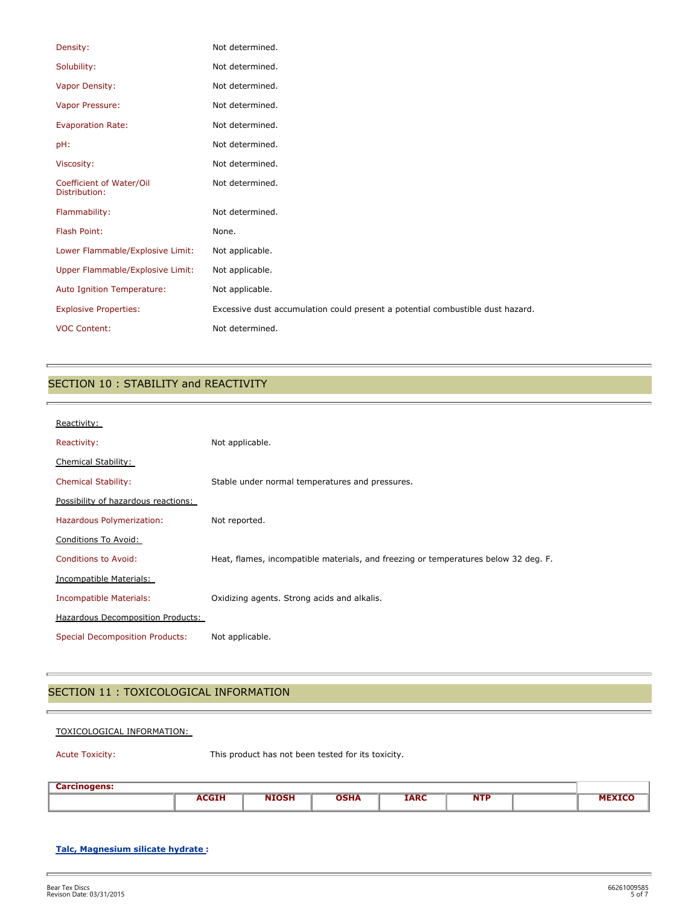| Density:                                  | Not determined.                                                                |
|-------------------------------------------|--------------------------------------------------------------------------------|
| Solubility:                               | Not determined.                                                                |
| Vapor Density:                            | Not determined.                                                                |
| Vapor Pressure:                           | Not determined.                                                                |
| <b>Evaporation Rate:</b>                  | Not determined.                                                                |
| pH:                                       | Not determined.                                                                |
| Viscosity:                                | Not determined.                                                                |
| Coefficient of Water/Oil<br>Distribution: | Not determined.                                                                |
| Flammability:                             | Not determined.                                                                |
| Flash Point:                              | None.                                                                          |
| Lower Flammable/Explosive Limit:          | Not applicable.                                                                |
| Upper Flammable/Explosive Limit:          | Not applicable.                                                                |
| Auto Ignition Temperature:                | Not applicable.                                                                |
| <b>Explosive Properties:</b>              | Excessive dust accumulation could present a potential combustible dust hazard. |
| <b>VOC Content:</b>                       | Not determined.                                                                |

## SECTION 10 : STABILITY and REACTIVITY

| Reactivity:                            |                                                                                     |
|----------------------------------------|-------------------------------------------------------------------------------------|
| Reactivity:                            | Not applicable.                                                                     |
| Chemical Stability:                    |                                                                                     |
| <b>Chemical Stability:</b>             | Stable under normal temperatures and pressures.                                     |
| Possibility of hazardous reactions:    |                                                                                     |
| Hazardous Polymerization:              | Not reported.                                                                       |
| Conditions To Avoid:                   |                                                                                     |
| <b>Conditions to Avoid:</b>            | Heat, flames, incompatible materials, and freezing or temperatures below 32 deg. F. |
| Incompatible Materials:                |                                                                                     |
| Incompatible Materials:                | Oxidizing agents. Strong acids and alkalis.                                         |
| Hazardous Decomposition Products:      |                                                                                     |
| <b>Special Decomposition Products:</b> | Not applicable.                                                                     |

## SECTION 11 : TOXICOLOGICAL INFORMATION

#### TOXICOLOGICAL INFORMATION:

p.

Acute Toxicity: This product has not been tested for its toxicity.

| <b>Carcinogens:</b><br>__ |             |               |             |             |            |  |
|---------------------------|-------------|---------------|-------------|-------------|------------|--|
|                           | <b>CGIH</b> | <b>NITOCU</b> | <b>DSHA</b> | <b>IARC</b> | <b>NTP</b> |  |
|                           |             |               |             |             |            |  |

#### **Talc, Magnesium silicate hydrate :**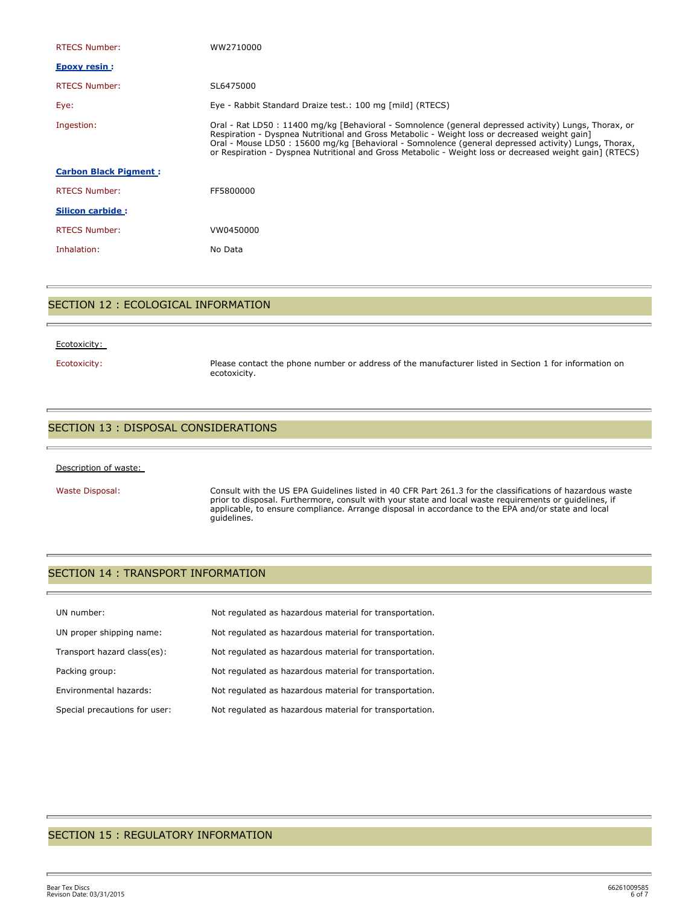| <b>RTECS Number:</b>         | WW2710000                                                                                                                                                                                                                                                                                                                                                                                                                  |
|------------------------------|----------------------------------------------------------------------------------------------------------------------------------------------------------------------------------------------------------------------------------------------------------------------------------------------------------------------------------------------------------------------------------------------------------------------------|
| <b>Epoxy resin:</b>          |                                                                                                                                                                                                                                                                                                                                                                                                                            |
| <b>RTECS Number:</b>         | SL6475000                                                                                                                                                                                                                                                                                                                                                                                                                  |
| Eye:                         | Eye - Rabbit Standard Draize test.: 100 mg [mild] (RTECS)                                                                                                                                                                                                                                                                                                                                                                  |
| Ingestion:                   | Oral - Rat LD50 : 11400 mg/kg [Behavioral - Somnolence (general depressed activity) Lungs, Thorax, or<br>Respiration - Dyspnea Nutritional and Gross Metabolic - Weight loss or decreased weight gain]<br>Oral - Mouse LD50 : 15600 mg/kg [Behavioral - Somnolence (general depressed activity) Lungs, Thorax,<br>or Respiration - Dyspnea Nutritional and Gross Metabolic - Weight loss or decreased weight gain] (RTECS) |
| <b>Carbon Black Pigment:</b> |                                                                                                                                                                                                                                                                                                                                                                                                                            |
| <b>RTECS Number:</b>         | FF5800000                                                                                                                                                                                                                                                                                                                                                                                                                  |
| <b>Silicon carbide:</b>      |                                                                                                                                                                                                                                                                                                                                                                                                                            |
| <b>RTECS Number:</b>         | VW0450000                                                                                                                                                                                                                                                                                                                                                                                                                  |
| Inhalation:                  | No Data                                                                                                                                                                                                                                                                                                                                                                                                                    |
|                              |                                                                                                                                                                                                                                                                                                                                                                                                                            |

## SECTION 12 : ECOLOGICAL INFORMATION

#### Ecotoxicity:

Ecotoxicity: Please contact the phone number or address of the manufacturer listed in Section 1 for information on ecotoxicity.

#### SECTION 13 : DISPOSAL CONSIDERATIONS

#### Description of waste:

Waste Disposal: Consult with the US EPA Guidelines listed in 40 CFR Part 261.3 for the classifications of hazardous waste prior to disposal. Furthermore, consult with your state and local waste requirements or guidelines, if applicable, to ensure compliance. Arrange disposal in accordance to the EPA and/or state and local guidelines.

#### SECTION 14 : TRANSPORT INFORMATION

| UN number:                    | Not requlated as hazardous material for transportation. |
|-------------------------------|---------------------------------------------------------|
| UN proper shipping name:      | Not regulated as hazardous material for transportation. |
| Transport hazard class(es):   | Not regulated as hazardous material for transportation. |
| Packing group:                | Not regulated as hazardous material for transportation. |
| Environmental hazards:        | Not regulated as hazardous material for transportation. |
| Special precautions for user: | Not regulated as hazardous material for transportation. |

#### SECTION 15 : REGULATORY INFORMATION